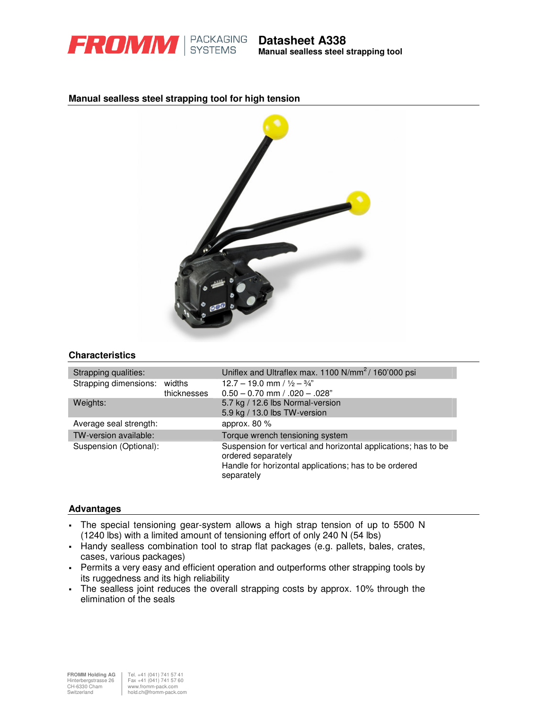

## **Manual sealless steel strapping tool for high tension**



### **Characteristics**

| Strapping qualities:         |             | Uniflex and Ultraflex max. 1100 N/mm <sup>2</sup> /160'000 psi                                                                                |
|------------------------------|-------------|-----------------------------------------------------------------------------------------------------------------------------------------------|
| Strapping dimensions: widths | thicknesses | $12.7 - 19.0$ mm / $\frac{1}{2} - \frac{3}{4}$ "<br>$0.50 - 0.70$ mm $/ .020 - .028$ "                                                        |
| Weights:                     |             | 5.7 kg / 12.6 lbs Normal-version<br>5.9 kg / 13.0 lbs TW-version                                                                              |
| Average seal strength:       |             | approx. $80\%$                                                                                                                                |
| TW-version available:        |             | Torque wrench tensioning system                                                                                                               |
| Suspension (Optional):       |             | Suspension for vertical and horizontal applications; has to be<br>ordered separately<br>Handle for horizontal applications; has to be ordered |
|                              |             | separately                                                                                                                                    |

### **Advantages**

- The special tensioning gear-system allows a high strap tension of up to 5500 N (1240 lbs) with a limited amount of tensioning effort of only 240 N (54 lbs)
- Handy sealless combination tool to strap flat packages (e.g. pallets, bales, crates, cases, various packages)
- Permits a very easy and efficient operation and outperforms other strapping tools by its ruggedness and its high reliability
- The sealless joint reduces the overall strapping costs by approx. 10% through the elimination of the seals